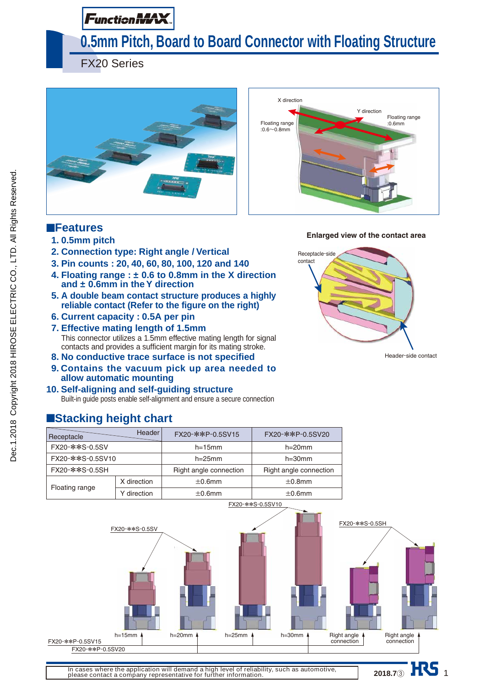# **Function MAX**

# **0.5mm Pitch, Board to Board Connector with Floating Structure**

FX20 Series





**Enlarged view of the contact area**

Receptacle-side contact

# ■**Features**

- **1. 0.5mm pitch**
- **2. Connection type: Right angle / Vertical**
- **3. Pin counts : 20, 40, 60, 80, 100, 120 and 140**
- **4. Floating range : ± 0.6 to 0.8mm in the X direction and ± 0.6mm in the Y direction**
- **5. A double beam contact structure produces a highly reliable contact (Refer to the figure on the right)**
- **6. Current capacity : 0.5A per pin**
- **7. Effective mating length of 1.5mm** This connector utilizes a 1.5mm effective mating length for signal contacts and provides a sufficient margin for its mating stroke.
- **8. No conductive trace surface is not specified**
- **9. Contains the vacuum pick up area needed to allow automatic mounting**
- **10. Self-aligning and self-guiding structure** Built-in guide posts enable self-alignment and ensure a secure connection

# ■**Stacking height chart**

| Receptacle       | <b>Header</b> | FX20-**P-0.5SV15       | FX20-**P-0.5SV20       |
|------------------|---------------|------------------------|------------------------|
| FX20-**S-0.5SV   |               | $h=15$ mm              | $h=20$ mm              |
| FX20-**S-0.5SV10 |               | $h=25$ mm              | $h = 30$ mm            |
| FX20-**S-0.5SH   |               | Right angle connection | Right angle connection |
|                  | X direction   | $\pm 0.6$ mm           | $\pm 0.8$ mm           |
| Floating range   | Y direction   | $\pm 0.6$ mm           | $\pm 0.6$ mm           |



Header-side contact

**In cases where the application will demand a high level of reliability, such as automotive, please contact a company representative for further information.**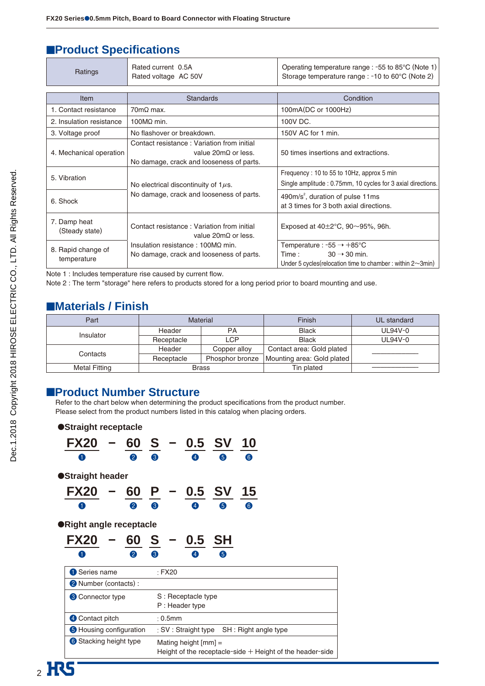# **EProduct Specifications**

| Ratings                           | Rated current 0.5A<br>Rated voltage AC 50V                                                                                   | Operating temperature range : $-55$ to 85 $\degree$ C (Note 1)<br>Storage temperature range : -10 to 60°C (Note 2)                                        |
|-----------------------------------|------------------------------------------------------------------------------------------------------------------------------|-----------------------------------------------------------------------------------------------------------------------------------------------------------|
|                                   |                                                                                                                              |                                                                                                                                                           |
| Item                              | <b>Standards</b>                                                                                                             | Condition                                                                                                                                                 |
| 1. Contact resistance             | $70 \text{m}\Omega$ max.                                                                                                     | 100mA(DC or 1000Hz)                                                                                                                                       |
| 2. Insulation resistance          | 100 $M\Omega$ min.                                                                                                           | 100V DC.                                                                                                                                                  |
| 3. Voltage proof                  | No flashover or breakdown.                                                                                                   | 150V AC for 1 min.                                                                                                                                        |
| 4. Mechanical operation           | Contact resistance: Variation from initial<br>value $20 \text{m}\Omega$ or less.<br>No damage, crack and looseness of parts. | 50 times insertions and extractions.                                                                                                                      |
| 5. Vibration                      | No electrical discontinuity of $1\mu s$ .                                                                                    | Frequency: 10 to 55 to 10Hz, approx 5 min<br>Single amplitude: 0.75mm, 10 cycles for 3 axial directions.                                                  |
| 6. Shock                          | No damage, crack and looseness of parts.                                                                                     | 490m/s <sup>2</sup> , duration of pulse 11ms<br>at 3 times for 3 both axial directions.                                                                   |
| 7. Damp heat<br>(Steady state)    | Contact resistance: Variation from initial<br>value $20 \text{m}\Omega$ or less.                                             | Exposed at $40\pm2^{\circ}$ C, 90 $\sim$ 95%, 96h.                                                                                                        |
| 8. Rapid change of<br>temperature | Insulation resistance: $100M\Omega$ min.<br>No damage, crack and looseness of parts.                                         | Temperature : $-55 \rightarrow +85^{\circ}$ C<br>$30 \rightarrow 30$ min.<br>Time :<br>Under 5 cycles (relocation time to chamber: within $2 \sim 3$ min) |

Note 1 : Includes temperature rise caused by current flow.

Note 2 : The term "storage" here refers to products stored for a long period prior to board mounting and use.

# ■**Materials / Finish**

| Part                 |                               | Finish<br><b>Material</b> |                            | UL standard |
|----------------------|-------------------------------|---------------------------|----------------------------|-------------|
| Insulator            | Header                        | PA                        | <b>Black</b>               | UL94V-0     |
|                      | Receptacle                    | LCP                       | <b>Black</b>               | UL94V-0     |
| Contacts             | Header<br>Copper alloy        |                           | Contact area: Gold plated  |             |
|                      | Phosphor bronze<br>Receptacle |                           | Mounting area: Gold plated |             |
| <b>Metal Fitting</b> | <b>Brass</b>                  |                           | Tin plated                 |             |

## ■**Product Number Structure**

Refer to the chart below when determining the product specifications from the product number. Please select from the product numbers listed in this catalog when placing orders.

| ●Straight receptacle           |           |                    |                                      |           |                                                             |  |
|--------------------------------|-----------|--------------------|--------------------------------------|-----------|-------------------------------------------------------------|--|
| <b>FX20</b>                    |           | $60 S - 0.5 SV 10$ |                                      |           |                                                             |  |
| $\mathbf{1}$                   | $\bullet$ | 3                  | 4                                    | 6         | 6)                                                          |  |
| ●Straight header               |           |                    |                                      |           |                                                             |  |
| <b>FX20</b>                    | 60        |                    | - 0.5 SV 15                          |           |                                                             |  |
|                                | 2         | 3                  | $\boldsymbol{A}$                     | 6         | 6                                                           |  |
| ● Right angle receptacle       |           |                    |                                      |           |                                                             |  |
| <b>FX20</b>                    | 60 S      |                    | 0.5 <sub>1</sub>                     | <b>SH</b> |                                                             |  |
|                                | 2         | 3.                 | $\overline{A}$                       | 6         |                                                             |  |
| <b>1</b> Series name           |           | $E$ FX20           |                                      |           |                                                             |  |
| 2 Number (contacts) :          |           |                    |                                      |           |                                                             |  |
| <b>3</b> Connector type        |           |                    | S: Receptacle type<br>P: Header type |           |                                                             |  |
| 4 Contact pitch                |           | $: 0.5$ mm         |                                      |           |                                                             |  |
| <b>6</b> Housing configuration |           |                    |                                      |           | : SV : Straight type SH : Right angle type                  |  |
| <b>6</b> Stacking height type  |           |                    | Mating height $[mm] =$               |           | Height of the receptacle-side $+$ Height of the header-side |  |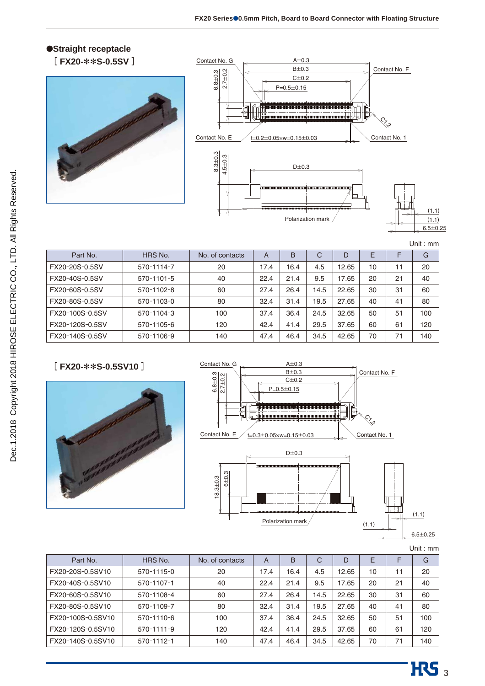# ●**Straight receptacle**





Unit : mm

| Part No.        | HRS No.          | No. of contacts | A    | B    | С    | D     | E  |    | G   |
|-----------------|------------------|-----------------|------|------|------|-------|----|----|-----|
| FX20-20S-0.5SV  | 570-1114-7       | 20              | 17.4 | 16.4 | 4.5  | 12.65 | 10 | 11 | 20  |
| FX20-40S-0.5SV  | $570 - 1101 - 5$ | 40              | 22.4 | 21.4 | 9.5  | 17.65 | 20 | 21 | 40  |
| FX20-60S-0.5SV  | 570-1102-8       | 60              | 27.4 | 26.4 | 14.5 | 22.65 | 30 | 31 | 60  |
| FX20-80S-0.5SV  | 570-1103-0       | 80              | 32.4 | 31.4 | 19.5 | 27.65 | 40 | 41 | 80  |
| FX20-100S-0.5SV | 570-1104-3       | 100             | 37.4 | 36.4 | 24.5 | 32.65 | 50 | 51 | 100 |
| FX20-120S-0.5SV | 570-1105-6       | 120             | 42.4 | 41.4 | 29.5 | 37.65 | 60 | 61 | 120 |
| FX20-140S-0.5SV | 570-1106-9       | 140             | 47.4 | 46.4 | 34.5 | 42.65 | 70 | 71 | 140 |

## **[ FX20-**\*\***S-0.5SV10 ]**





| Part No.          | HRS No.          | No. of contacts | A    | B    | C    | D     | F  |    | G   |
|-------------------|------------------|-----------------|------|------|------|-------|----|----|-----|
| FX20-20S-0.5SV10  | 570-1115-0       | 20              | 17.4 | 16.4 | 4.5  | 12.65 | 10 | 11 | 20  |
| FX20-40S-0.5SV10  | 570-1107-1       | 40              | 22.4 | 21.4 | 9.5  | 17.65 | 20 | 21 | 40  |
| FX20-60S-0.5SV10  | 570-1108-4       | 60              | 27.4 | 26.4 | 14.5 | 22.65 | 30 | 31 | 60  |
| FX20-80S-0.5SV10  | 570-1109-7       | 80              | 32.4 | 31.4 | 19.5 | 27.65 | 40 | 41 | 80  |
| FX20-100S-0.5SV10 | 570-1110-6       | 100             | 37.4 | 36.4 | 24.5 | 32.65 | 50 | 51 | 100 |
| FX20-120S-0.5SV10 | $570 - 1111 - 9$ | 120             | 42.4 | 41.4 | 29.5 | 37.65 | 60 | 61 | 120 |
| FX20-140S-0.5SV10 | 570-1112-1       | 140             | 47.4 | 46.4 | 34.5 | 42.65 | 70 | 71 | 140 |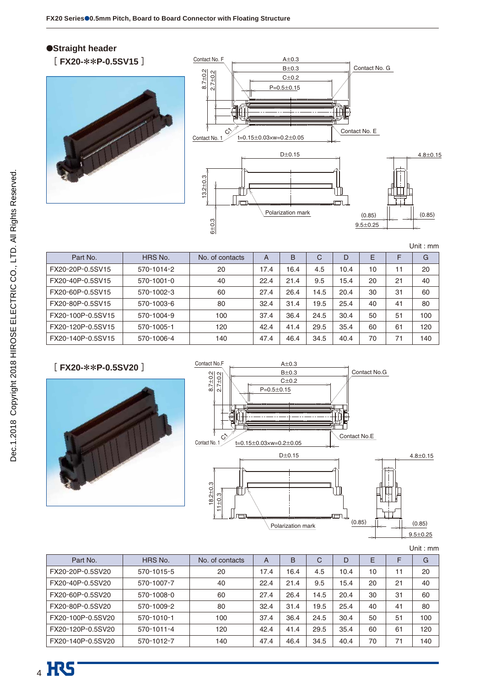## ●**Straight header**





|                   |                  |                 |      |      |              |      |    |    | Unit: $mm$ |
|-------------------|------------------|-----------------|------|------|--------------|------|----|----|------------|
| Part No.          | HRS No.          | No. of contacts | A    | B    | $\mathsf{C}$ | D    | E  |    | G          |
| FX20-20P-0.5SV15  | 570-1014-2       | 20              | 17.4 | 16.4 | 4.5          | 10.4 | 10 | 11 | 20         |
| FX20-40P-0.5SV15  | $570 - 1001 - 0$ | 40              | 22.4 | 21.4 | 9.5          | 15.4 | 20 | 21 | 40         |
| FX20-60P-0.5SV15  | 570-1002-3       | 60              | 27.4 | 26.4 | 14.5         | 20.4 | 30 | 31 | 60         |
| FX20-80P-0.5SV15  | 570-1003-6       | 80              | 32.4 | 31.4 | 19.5         | 25.4 | 40 | 41 | 80         |
| FX20-100P-0.5SV15 | 570-1004-9       | 100             | 37.4 | 36.4 | 24.5         | 30.4 | 50 | 51 | 100        |
| FX20-120P-0.5SV15 | 570-1005-1       | 120             | 42.4 | 41.4 | 29.5         | 35.4 | 60 | 61 | 120        |
| FX20-140P-0.5SV15 | 570-1006-4       | 140             | 47.4 | 46.4 | 34.5         | 40.4 | 70 | 71 | 140        |

# **[ FX20-**\*\***P-0.5SV20 ]**





| HRS No.          | No. of contacts | $\overline{A}$ | <sub>B</sub> | C    | D    | Ε  |    | G   |
|------------------|-----------------|----------------|--------------|------|------|----|----|-----|
| 570-1015-5       | 20              | 17.4           | 16.4         | 4.5  | 10.4 | 10 | 11 | 20  |
| 570-1007-7       | 40              | 22.4           | 21.4         | 9.5  | 15.4 | 20 | 21 | 40  |
| 570-1008-0       | 60              | 27.4           | 26.4         | 14.5 | 20.4 | 30 | 31 | 60  |
| 570-1009-2       | 80              | 32.4           | 31.4         | 19.5 | 25.4 | 40 | 41 | 80  |
| 570-1010-1       | 100             | 37.4           | 36.4         | 24.5 | 30.4 | 50 | 51 | 100 |
| $570 - 1011 - 4$ | 120             | 42.4           | 41.4         | 29.5 | 35.4 | 60 | 61 | 120 |
| 570-1012-7       | 140             | 47.4           | 46.4         | 34.5 | 40.4 | 70 | 71 | 140 |
|                  |                 |                |              |      |      |    |    |     |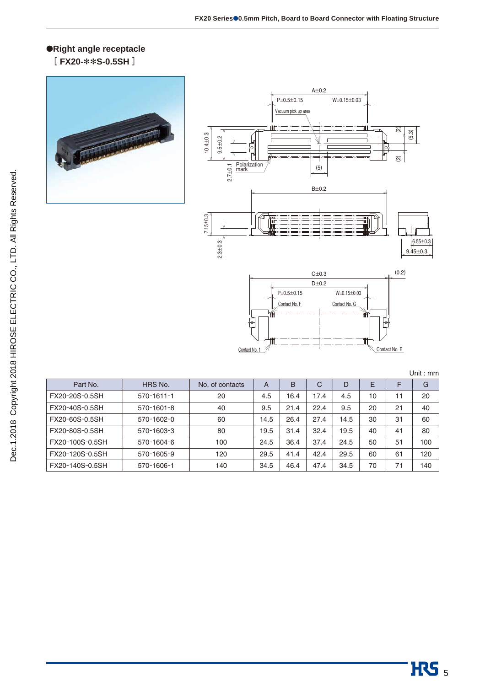### ●**Right angle receptacle [ FX20-**\*\***S-0.5SH ]**







| Unit : mm |  |
|-----------|--|
|           |  |

| Part No.        | HRS No.          | No. of contacts | A    | B    | C    | D    | E  |    | G   |
|-----------------|------------------|-----------------|------|------|------|------|----|----|-----|
| FX20-20S-0.5SH  | $570 - 1611 - 1$ | 20              | 4.5  | 16.4 | 17.4 | 4.5  | 10 | 11 | 20  |
| FX20-40S-0.5SH  | 570-1601-8       | 40              | 9.5  | 21.4 | 22.4 | 9.5  | 20 | 21 | 40  |
| FX20-60S-0.5SH  | 570-1602-0       | 60              | 14.5 | 26.4 | 27.4 | 14.5 | 30 | 31 | 60  |
| FX20-80S-0.5SH  | 570-1603-3       | 80              | 19.5 | 31.4 | 32.4 | 19.5 | 40 | 41 | 80  |
| FX20-100S-0.5SH | 570-1604-6       | 100             | 24.5 | 36.4 | 37.4 | 24.5 | 50 | 51 | 100 |
| FX20-120S-0.5SH | 570-1605-9       | 120             | 29.5 | 41.4 | 42.4 | 29.5 | 60 | 61 | 120 |
| FX20-140S-0.5SH | 570-1606-1       | 140             | 34.5 | 46.4 | 47.4 | 34.5 | 70 | 71 | 140 |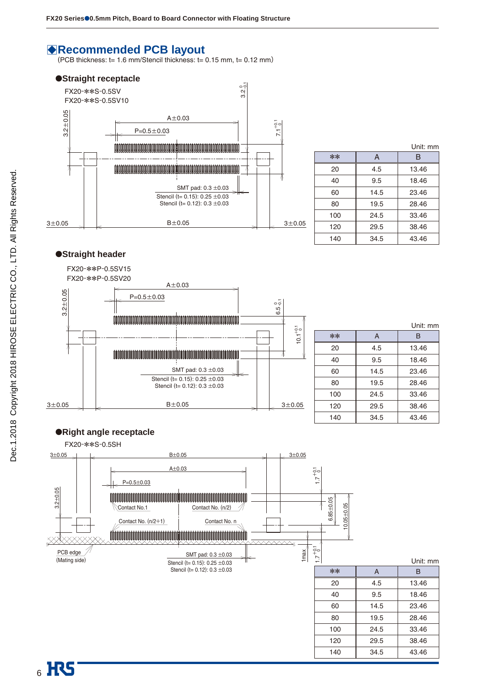# B**Recommended PCB layout**

(PCB thickness: t= 1.6 mm/Stencil thickness: t= 0.15 mm, t= 0.12 mm**)**



|       |      | Unit: mm |
|-------|------|----------|
| $***$ | A    | В        |
| 20    | 4.5  | 13.46    |
| 40    | 9.5  | 18.46    |
| 60    | 14.5 | 23.46    |
| 80    | 19.5 | 28.46    |
| 100   | 24.5 | 33.46    |
| 120   | 29.5 | 38.46    |
| 140   | 34.5 | 43.46    |

### ●**Straight header**



|       |                | Unit: mm |
|-------|----------------|----------|
| $***$ | $\overline{A}$ | B        |
| 20    | 4.5            | 13.46    |
| 40    | 9.5            | 18.46    |
| 60    | 14.5           | 23.46    |
| 80    | 19.5           | 28.46    |
| 100   | 24.5           | 33.46    |
| 120   | 29.5           | 38.46    |
| 140   | 34.5           | 43.46    |

### ●**Right angle receptacle**

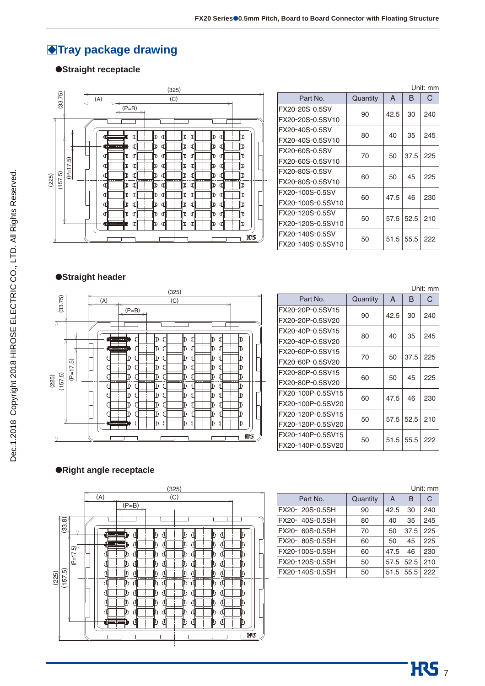# **Tray package drawing**

### ●**Straight receptacle**



| Unit: mm          |          |            |      |     |
|-------------------|----------|------------|------|-----|
| Part No.          | Quantity | A          | в    | C   |
| FX20-20S-0.5SV    | 90       | 42.5       | 30   | 240 |
| FX20-20S-0.5SV10  |          |            |      |     |
| FX20-40S-0.5SV    | 80       | 40         | 35   | 245 |
| FX20-40S-0.5SV10  |          |            |      |     |
| FX20-60S-0.5SV    | 70       | 50         | 37.5 | 225 |
| FX20-60S-0.5SV10  |          |            |      |     |
| FX20-80S-0.5SV    | 60       | 50         | 45   | 225 |
| FX20-80S-0.5SV10  |          |            |      |     |
| FX20-100S-0.5SV   | 60       | 47.5<br>46 | 230  |     |
| FX20-100S-0.5SV10 |          |            |      |     |
| FX20-120S-0.5SV   | 50       | 57.5       | 52.5 | 210 |
| FX20-120S-0.5SV10 |          |            |      |     |
| FX20-140S-0.5SV   | 50       | 51.5       | 55.5 | 222 |
| FX20-140S-0.5SV10 |          |            |      |     |

## ●**Straight header**



|                   |          |      |      | Unit: mm |
|-------------------|----------|------|------|----------|
| Part No.          | Quantity | A    | в    | С        |
| FX20-20P-0.5SV15  | 90       | 42.5 | 30   | 240      |
| FX20-20P-0.5SV20  |          |      |      |          |
| FX20-40P-0.5SV15  | 80       | 40   | 35   | 245      |
| FX20-40P-0.5SV20  |          |      |      |          |
| FX20-60P-0.5SV15  | 70       | 50   | 37.5 | 225      |
| FX20-60P-0.5SV20  |          |      |      |          |
| FX20-80P-0.5SV15  | 60       | 50   | 45   | 225      |
| FX20-80P-0.5SV20  |          |      |      |          |
| FX20-100P-0.5SV15 | 60       | 47.5 | 46   | 230      |
| FX20-100P-0.5SV20 |          |      |      |          |
| FX20-120P-0.5SV15 | 50       | 57.5 | 52.5 | 210      |
| FX20-120P-0.5SV20 |          |      |      |          |
| FX20-140P-0.5SV15 | 50       | 51.5 | 55.5 | 222      |
| FX20-140P-0.5SV20 |          |      |      |          |

### ●**Right angle receptacle**



| Unit: mm        |          |      |      |     |
|-----------------|----------|------|------|-----|
| Part No.        | Quantity | A    | в    | C   |
| FX20-20S-0.5SH  | 90       | 42.5 | 30   | 240 |
| FX20-40S-0.5SH  | 80       | 40   | 35   | 245 |
| FX20- 60S-0.5SH | 70       | 50   | 37.5 | 225 |
| FX20-80S-0.5SH  | 60       | 50   | 45   | 225 |
| FX20-100S-0.5SH | 60       | 47.5 | 46   | 230 |
| FX20-120S-0.5SH | 50       | 57.5 | 52.5 | 210 |
| FX20-140S-0.5SH | 50       | 51.5 | 55.5 | 222 |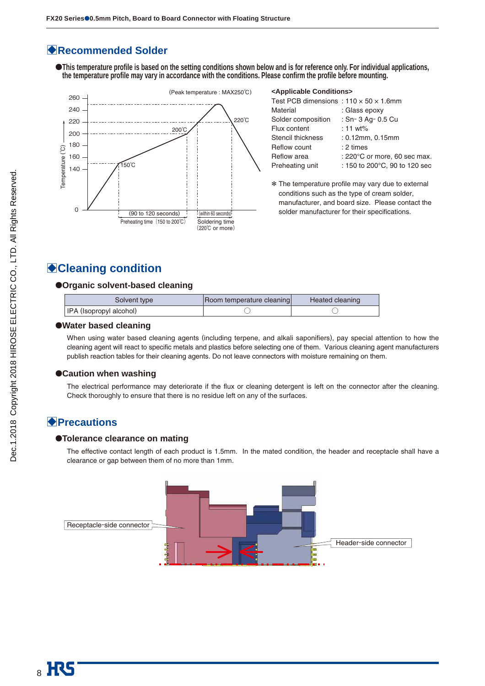# B**Recommended Solder**

●**This temperature profile is based on the setting conditions shown below and is for reference only. For individual applications, the temperature profile may vary in accordance with the conditions. Please confirm the profile before mounting.**



#### **<Applicable Conditions>**

| Test PCB dimensions: $110 \times 50 \times 1.6$ mm |                                          |
|----------------------------------------------------|------------------------------------------|
| Material                                           | : Glass epoxy                            |
| Solder composition                                 | : Sn-3 Ag-0.5 Cu                         |
| Flux content                                       | : 11 $wt\%$                              |
| Stencil thickness                                  | : 0.12mm, 0.15mm                         |
| Reflow count                                       | : 2 times                                |
| Reflow area                                        | : 220 $\degree$ C or more, 60 sec max.   |
| Preheating unit                                    | : 150 to 200 $^{\circ}$ C, 90 to 120 sec |
|                                                    |                                          |

\* The temperature profile may vary due to external conditions such as the type of cream solder, manufacturer, and board size. Please contact the solder manufacturer for their specifications.

# B**Cleaning condition**

#### ●**Organic solvent-based cleaning**

| Solvent type            | Room temperature cleaning | Heated cleaning |
|-------------------------|---------------------------|-----------------|
| IPA (Isopropyl alcohol) |                           |                 |

#### ●**Water based cleaning**

When using water based cleaning agents (including terpene, and alkali saponifiers), pay special attention to how the cleaning agent will react to specific metals and plastics before selecting one of them. Various cleaning agent manufacturers publish reaction tables for their cleaning agents. Do not leave connectors with moisture remaining on them.

#### ●**Caution when washing**

The electrical performance may deteriorate if the flux or cleaning detergent is left on the connector after the cleaning. Check thoroughly to ensure that there is no residue left on any of the surfaces.

## B**Precautions**

#### ●**Tolerance clearance on mating**

The effective contact length of each product is 1.5mm. In the mated condition, the header and receptacle shall have a clearance or gap between them of no more than 1mm.

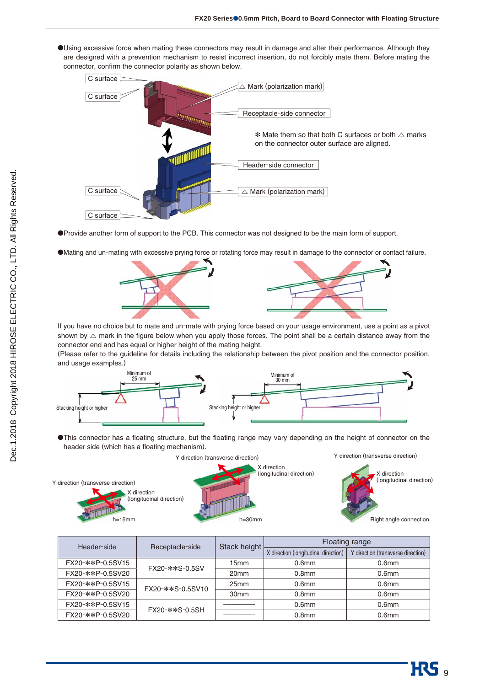●Using excessive force when mating these connectors may result in damage and alter their performance. Although they are designed with a prevention mechanism to resist incorrect insertion, do not forcibly mate them. Before mating the connector, confirm the connector polarity as shown below.



●Provide another form of support to the PCB. This connector was not designed to be the main form of support.





If you have no choice but to mate and un-mate with prying force based on your usage environment, use a point as a pivot shown by  $\triangle$  mark in the figure below when you apply those forces. The point shall be a certain distance away from the connector end and has equal or higher height of the mating height.

(Please refer to the guideline for details including the relationship between the pivot position and the connector position, and usage examples.)



●This connector has a floating structure, but the floating range may vary depending on the height of connector on the header side (which has a floating mechanism).



| Header-side      | Receptacle-side  | Stack height     |                                      | <b>Floating range</b>              |  |
|------------------|------------------|------------------|--------------------------------------|------------------------------------|--|
|                  |                  |                  | X direction (longitudinal direction) | Y direction (transverse direction) |  |
| FX20-**P-0.5SV15 | FX20-**S-0.5SV   | 15mm             | 0.6 <sub>mm</sub>                    | 0.6 <sub>mm</sub>                  |  |
| FX20-**P-0.5SV20 |                  | 20 <sub>mm</sub> | 0.8 <sub>mm</sub>                    | 0.6 <sub>mm</sub>                  |  |
| FX20-**P-0.5SV15 | FX20-**S-0.5SV10 | 25mm             | 0.6 <sub>mm</sub>                    | 0.6 <sub>mm</sub>                  |  |
| FX20-**P-0.5SV20 |                  | 30 <sub>mm</sub> | 0.8 <sub>mm</sub>                    | 0.6 <sub>mm</sub>                  |  |
| FX20-**P-0.5SV15 | FX20-**S-0.5SH   |                  | 0.6 <sub>mm</sub>                    | 0.6 <sub>mm</sub>                  |  |
| FX20-**P-0.5SV20 |                  |                  | 0.8 <sub>mm</sub>                    | 0.6 <sub>mm</sub>                  |  |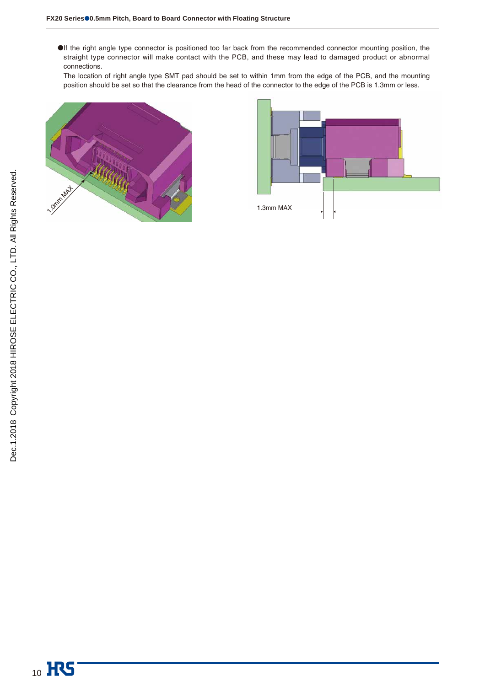●If the right angle type connector is positioned too far back from the recommended connector mounting position, the straight type connector will make contact with the PCB, and these may lead to damaged product or abnormal connections.

The location of right angle type SMT pad should be set to within 1mm from the edge of the PCB, and the mounting position should be set so that the clearance from the head of the connector to the edge of the PCB is 1.3mm or less.



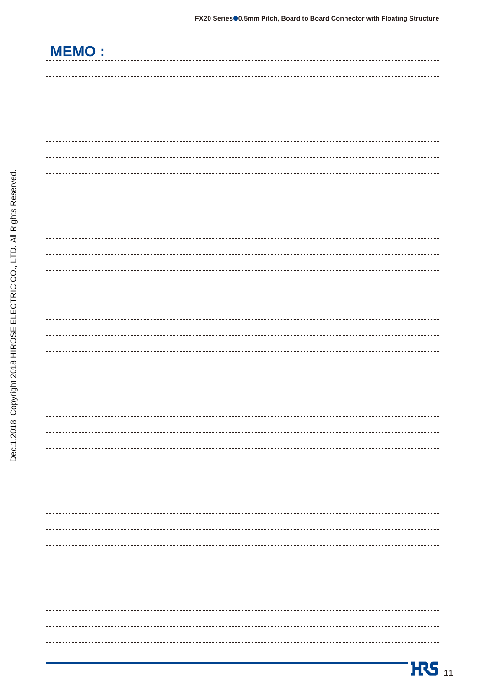| <b>MEMO:</b>                                                                                                                                                                                                                                                                                                                                                                                 |
|----------------------------------------------------------------------------------------------------------------------------------------------------------------------------------------------------------------------------------------------------------------------------------------------------------------------------------------------------------------------------------------------|
|                                                                                                                                                                                                                                                                                                                                                                                              |
|                                                                                                                                                                                                                                                                                                                                                                                              |
|                                                                                                                                                                                                                                                                                                                                                                                              |
|                                                                                                                                                                                                                                                                                                                                                                                              |
|                                                                                                                                                                                                                                                                                                                                                                                              |
|                                                                                                                                                                                                                                                                                                                                                                                              |
|                                                                                                                                                                                                                                                                                                                                                                                              |
|                                                                                                                                                                                                                                                                                                                                                                                              |
|                                                                                                                                                                                                                                                                                                                                                                                              |
|                                                                                                                                                                                                                                                                                                                                                                                              |
|                                                                                                                                                                                                                                                                                                                                                                                              |
|                                                                                                                                                                                                                                                                                                                                                                                              |
|                                                                                                                                                                                                                                                                                                                                                                                              |
|                                                                                                                                                                                                                                                                                                                                                                                              |
|                                                                                                                                                                                                                                                                                                                                                                                              |
|                                                                                                                                                                                                                                                                                                                                                                                              |
|                                                                                                                                                                                                                                                                                                                                                                                              |
|                                                                                                                                                                                                                                                                                                                                                                                              |
|                                                                                                                                                                                                                                                                                                                                                                                              |
|                                                                                                                                                                                                                                                                                                                                                                                              |
|                                                                                                                                                                                                                                                                                                                                                                                              |
| $\frac{1}{2} \frac{1}{2} \frac{1}{2} \frac{1}{2} \frac{1}{2} \frac{1}{2} \frac{1}{2} \frac{1}{2} \frac{1}{2} \frac{1}{2} \frac{1}{2} \frac{1}{2} \frac{1}{2} \frac{1}{2} \frac{1}{2} \frac{1}{2} \frac{1}{2} \frac{1}{2} \frac{1}{2} \frac{1}{2} \frac{1}{2} \frac{1}{2} \frac{1}{2} \frac{1}{2} \frac{1}{2} \frac{1}{2} \frac{1}{2} \frac{1}{2} \frac{1}{2} \frac{1}{2} \frac{1}{2} \frac{$ |
|                                                                                                                                                                                                                                                                                                                                                                                              |
|                                                                                                                                                                                                                                                                                                                                                                                              |
|                                                                                                                                                                                                                                                                                                                                                                                              |
|                                                                                                                                                                                                                                                                                                                                                                                              |
|                                                                                                                                                                                                                                                                                                                                                                                              |
|                                                                                                                                                                                                                                                                                                                                                                                              |
|                                                                                                                                                                                                                                                                                                                                                                                              |
|                                                                                                                                                                                                                                                                                                                                                                                              |
|                                                                                                                                                                                                                                                                                                                                                                                              |
|                                                                                                                                                                                                                                                                                                                                                                                              |
|                                                                                                                                                                                                                                                                                                                                                                                              |
| -------------                                                                                                                                                                                                                                                                                                                                                                                |
|                                                                                                                                                                                                                                                                                                                                                                                              |
|                                                                                                                                                                                                                                                                                                                                                                                              |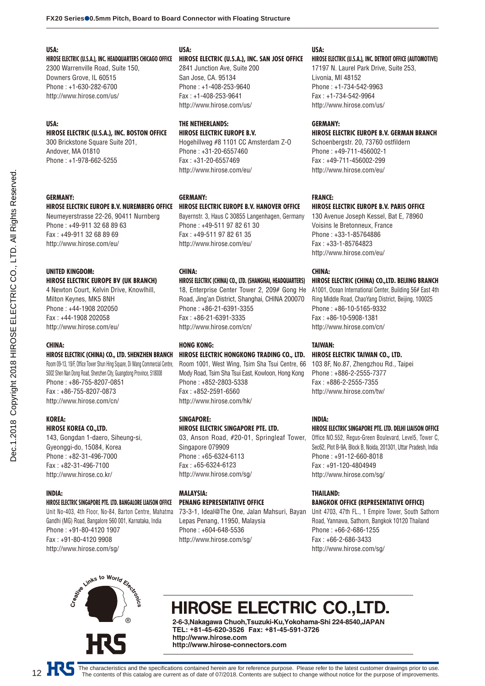#### **USA:**

**HIROSE ELECTRIC (U.S.A.), INC. HEADQUARTERS CHICAGO OFFICE** 2300 Warrenville Road, Suite 150, Downers Grove, IL 60515 Phone : +1-630-282-6700 http://www.hirose.com/us/

#### **USA:**

## **HIROSE ELECTRIC (U.S.A.), INC. BOSTON OFFICE**

300 Brickstone Square Suite 201, Andover, MA 01810 Phone : +1-978-662-5255

#### **GERMANY:**

#### **HIROSE ELECTRIC EUROPE B.V. NUREMBERG OFFICE**

Neumeyerstrasse 22-26, 90411 Nurnberg Phone : +49-911 32 68 89 63 Fax : +49-911 32 68 89 69 http://www.hirose.com/eu/

#### **UNITED KINGDOM: HIROSE ELECTRIC EUROPE BV (UK BRANCH)**

4 Newton Court, Kelvin Drive, Knowlhill, Milton Keynes, MK5 8NH Phone : +44-1908 202050 Fax : +44-1908 202058 http://www.hirose.com/eu/

### **CHINA:**

#### **HIROSE ELECTRIC (CHINA) CO., LTD. SHENZHEN BRANCH**

Room 09-13, 19/F, Office Tower Shun Hing Square, Di Wang Commercial Centre, 5002 Shen Nan Dong Road, Shenzhen City, Guangdong Province, 518008 Phone : +86-755-8207-0851 Fax : +86-755-8207-0873 http://www.hirose.com/cn/

#### **KOREA:**

#### **HIROSE KOREA CO.,LTD.**

143, Gongdan 1-daero, Siheung-si, Gyeonggi-do, 15084, Korea Phone : +82-31-496-7000 Fax : +82-31-496-7100 http://www.hirose.co.kr/

#### **INDIA:**

#### **HIROSE ELECTRIC SINGAPORE PTE. LTD. BANGALORE LIAISON OFFICE**

Unit No-403, 4th Floor, No-84, Barton Centre, Mahatma Gandhi (MG) Road, Bangalore 560 001, Karnataka, India Phone : +91-80-4120 1907 Fax : +91-80-4120 9908 http://www.hirose.com/sg/

### **USA:**

#### **HIROSE ELECTRIC (U.S.A.), INC. SAN JOSE OFFICE**

2841 Junction Ave, Suite 200 San Jose, CA. 95134 Phone : +1-408-253-9640 Fax : +1-408-253-9641 http://www.hirose.com/us/

#### **THE NETHERLANDS: HIROSE ELECTRIC EUROPE B.V.**

Hogehillweg #8 1101 CC Amsterdam Z-O Phone : +31-20-6557460 Fax : +31-20-6557469 http://www.hirose.com/eu/

#### **GERMANY:**

#### **HIROSE ELECTRIC EUROPE B.V. HANOVER OFFICE**

Bayernstr. 3, Haus C 30855 Langenhagen, Germany Phone : +49-511 97 82 61 30 Fax : +49-511 97 82 61 35 http://www.hirose.com/eu/

#### **CHINA:**

#### **HIROSE ELECTRIC (CHINA) CO., LTD. (SHANGHAI, HEADQUARTERS)**

18, Enterprise Center Tower 2, 209# Gong He Road, Jing'an District, Shanghai, CHINA 200070 Phone : +86-21-6391-3355 Fax : +86-21-6391-3335 http://www.hirose.com/cn/

#### **HONG KONG:**

### **HIROSE ELECTRIC HONGKONG TRADING CO., LTD.**

Room 1001, West Wing, Tsim Sha Tsui Centre, 66 Mody Road, Tsim Sha Tsui East, Kowloon, Hong Kong Phone : +852-2803-5338 Fax : +852-2591-6560 http://www.hirose.com/hk/

#### **SINGAPORE:**

#### **HIROSE ELECTRIC SINGAPORE PTE. LTD.**

03, Anson Road, #20-01, Springleaf Tower, Singapore 079909 Phone : +65-6324-6113 Fax : +65-6324-6123 http://www.hirose.com/sg/

#### **MALAYSIA: PENANG REPRESENTATIVE OFFICE**

73-3-1, Ideal@The One, Jalan Mahsuri, Bayan Lepas Penang, 11950, Malaysia Phone : +604-648-5536 http://www.hirose.com/sg/

#### **USA:**

#### **HIROSE ELECTRIC (U.S.A.), INC. DETROIT OFFICE (AUTOMOTIVE)**

17197 N. Laurel Park Drive, Suite 253, Livonia, MI 48152 Phone : +1-734-542-9963 Fax : +1-734-542-9964 http://www.hirose.com/us/

#### **GERMANY:**

#### **HIROSE ELECTRIC EUROPE B.V. GERMAN BRANCH**

Schoenbergstr. 20, 73760 ostfildern Phone : +49-711-456002-1 Fax : +49-711-456002-299 http://www.hirose.com/eu/

#### **FRANCE:**

#### **HIROSE ELECTRIC EUROPE B.V. PARIS OFFICE**

130 Avenue Joseph Kessel, Bat E, 78960 Voisins le Bretonneux, France Phone : +33-1-85764886 Fax : +33-1-85764823 http://www.hirose.com/eu/

#### **CHINA:**

#### **HIROSE ELECTRIC (CHINA) CO.,LTD. BEIJING BRANCH**

A1001, Ocean International Center, Building 56# East 4th Ring Middle Road, ChaoYang District, Beijing, 100025 Phone : +86-10-5165-9332 Fax : +86-10-5908-1381 http://www.hirose.com/cn/

#### **TAIWAN:**

## **HIROSE ELECTRIC TAIWAN CO., LTD.**

103 8F, No.87, Zhengzhou Rd., Taipei Phone : +886-2-2555-7377 Fax : +886-2-2555-7355 http://www.hirose.com/tw/

#### **INDIA:**

#### **HIROSE ELECTRIC SINGAPORE PTE. LTD. DELHI LIAISON OFFICE**

Office NO.552, Regus-Green Boulevard, Level5, Tower C, Sec62, Plot B-9A, Block B, Noida, 201301, Uttar Pradesh, India Phone : +91-12-660-8018 Fax : +91-120-4804949 http://www.hirose.com/sg/

#### **THAILAND:**

#### **BANGKOK OFFICE (REPRESENTATIVE OFFICE)**

Unit 4703, 47th FL., 1 Empire Tower, South Sathorn Road, Yannawa, Sathorn, Bangkok 10120 Thailand Phone : +66-2-686-1255 Fax : +66-2-686-3433 http://www.hirose.com/sg/



# HIROSE ELECTRIC CO.,LTD.

**2-6-3,Nakagawa Chuoh,Tsuzuki-Ku,Yokohama-Shi 224-8540,JAPAN TEL: +81-45-620-3526 Fax: +81-45-591-3726 http://www.hirose.com http://www.hirose-connectors.com**